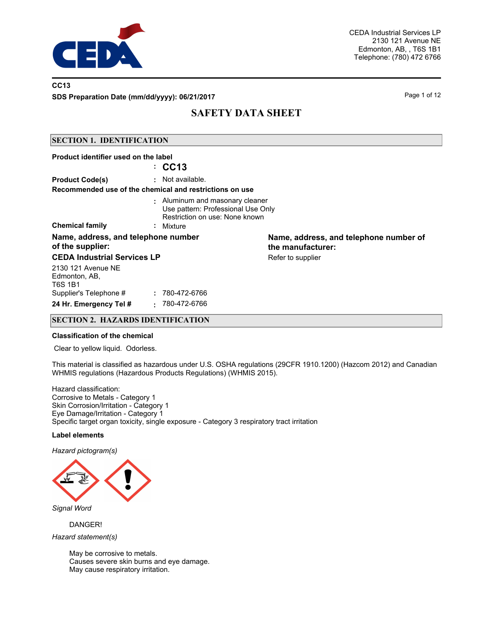

### **CC13**

**SDS Preparation Date (mm/dd/yyyy): 06/21/2017** Page 1 of 12

# **SAFETY DATA SHEET**

### **SECTION 1. IDENTIFICATION**

| Product identifier used on the label                    |                                                                                                                      |                                                             |
|---------------------------------------------------------|----------------------------------------------------------------------------------------------------------------------|-------------------------------------------------------------|
|                                                         | $\therefore$ CC13                                                                                                    |                                                             |
| <b>Product Code(s)</b>                                  | : Not available.                                                                                                     |                                                             |
|                                                         | Recommended use of the chemical and restrictions on use                                                              |                                                             |
| <b>Chemical family</b>                                  | : Aluminum and masonary cleaner<br>Use pattern: Professional Use Only<br>Restriction on use: None known<br>: Mixture |                                                             |
| Name, address, and telephone number<br>of the supplier: |                                                                                                                      | Name, address, and telephone number of<br>the manufacturer: |
| <b>CEDA Industrial Services LP</b>                      |                                                                                                                      | Refer to supplier                                           |
| 2130 121 Avenue NE<br>Edmonton, AB,<br><b>T6S 1B1</b>   |                                                                                                                      |                                                             |
| Supplier's Telephone #                                  | : 780-472-6766                                                                                                       |                                                             |
| 24 Hr. Emergency Tel #                                  | 780-472-6766<br>÷.                                                                                                   |                                                             |

### **SECTION 2. HAZARDS IDENTIFICATION**

#### **Classification of the chemical**

Clear to yellow liquid. Odorless.

This material is classified as hazardous under U.S. OSHA regulations (29CFR 1910.1200) (Hazcom 2012) and Canadian WHMIS regulations (Hazardous Products Regulations) (WHMIS 2015).

Hazard classification: Corrosive to Metals - Category 1 Skin Corrosion/Irritation - Category 1 Eye Damage/Irritation - Category 1 Specific target organ toxicity, single exposure - Category 3 respiratory tract irritation

### **Label elements**

*Hazard pictogram(s)*



*Signal Word*

DANGER!

*Hazard statement(s)*

May be corrosive to metals. Causes severe skin burns and eye damage. May cause respiratory irritation.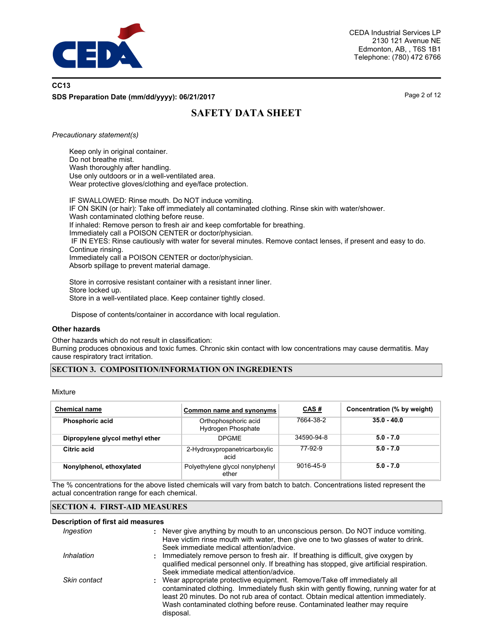

## **CC13 SDS Preparation Date (mm/dd/yyyy): 06/21/2017** Page 2 of 12

# **SAFETY DATA SHEET**

### *Precautionary statement(s)*

Keep only in original container. Do not breathe mist. Wash thoroughly after handling. Use only outdoors or in a well-ventilated area. Wear protective gloves/clothing and eye/face protection.

IF SWALLOWED: Rinse mouth. Do NOT induce vomiting. IF ON SKIN (or hair): Take off immediately all contaminated clothing. Rinse skin with water/shower. Wash contaminated clothing before reuse. If inhaled: Remove person to fresh air and keep comfortable for breathing. Immediately call a POISON CENTER or doctor/physician. IF IN EYES: Rinse cautiously with water for several minutes. Remove contact lenses, if present and easy to do. Continue rinsing. Immediately call a POISON CENTER or doctor/physician. Absorb spillage to prevent material damage.

Store in corrosive resistant container with a resistant inner liner. Store locked up. Store in a well-ventilated place. Keep container tightly closed.

Dispose of contents/container in accordance with local regulation.

### **Other hazards**

Other hazards which do not result in classification:

Burning produces obnoxious and toxic fumes. Chronic skin contact with low concentrations may cause dermatitis. May cause respiratory tract irritation.

### **SECTION 3. COMPOSITION/INFORMATION ON INGREDIENTS**

### Mixture

| <b>Chemical name</b>            | Common name and synonyms                   | CAS#       | Concentration (% by weight) |
|---------------------------------|--------------------------------------------|------------|-----------------------------|
| <b>Phosphoric acid</b>          | Orthophosphoric acid<br>Hydrogen Phosphate | 7664-38-2  | $35.0 - 40.0$               |
| Dipropylene glycol methyl ether | <b>DPGMF</b>                               | 34590-94-8 | $5.0 - 7.0$                 |
| Citric acid                     | 2-Hydroxypropanetricarboxylic<br>acid      | 77-92-9    | $5.0 - 7.0$                 |
| Nonylphenol, ethoxylated        | Polyethylene glycol nonylphenyl<br>ether   | 9016-45-9  | $5.0 - 7.0$                 |

The % concentrations for the above listed chemicals will vary from batch to batch. Concentrations listed represent the actual concentration range for each chemical.

### **SECTION 4. FIRST-AID MEASURES**

### **Description of first aid measures**

| Ingestion    | : Never give anything by mouth to an unconscious person. Do NOT induce vomiting.<br>Have victim rinse mouth with water, then give one to two glasses of water to drink.<br>Seek immediate medical attention/advice.                                                                                                                                  |
|--------------|------------------------------------------------------------------------------------------------------------------------------------------------------------------------------------------------------------------------------------------------------------------------------------------------------------------------------------------------------|
| Inhalation   | Immediately remove person to fresh air. If breathing is difficult, give oxygen by<br>qualified medical personnel only. If breathing has stopped, give artificial respiration.<br>Seek immediate medical attention/advice.                                                                                                                            |
| Skin contact | : Wear appropriate protective equipment. Remove/Take off immediately all<br>contaminated clothing. Immediately flush skin with gently flowing, running water for at<br>least 20 minutes. Do not rub area of contact. Obtain medical attention immediately.<br>Wash contaminated clothing before reuse. Contaminated leather may require<br>disposal. |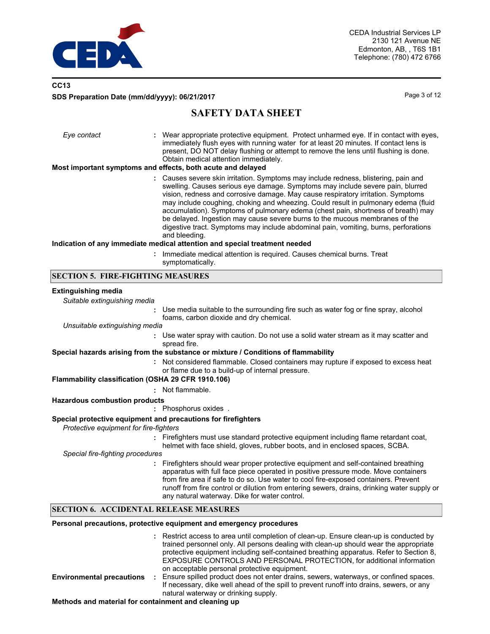

### **CC13 SDS Preparation Date (mm/dd/yyyy): 06/21/2017** Page 3 of 12

## **SAFETY DATA SHEET**

| Eye contact | : Wear appropriate protective equipment. Protect unharmed eye. If in contact with eyes,<br>immediately flush eyes with running water for at least 20 minutes. If contact lens is<br>present, DO NOT delay flushing or attempt to remove the lens until flushing is done.<br>Obtain medical attention immediately.<br>Most important symptoms and effects, both acute and delayed                                                                                                                                                                                                                                                                                                                         |
|-------------|----------------------------------------------------------------------------------------------------------------------------------------------------------------------------------------------------------------------------------------------------------------------------------------------------------------------------------------------------------------------------------------------------------------------------------------------------------------------------------------------------------------------------------------------------------------------------------------------------------------------------------------------------------------------------------------------------------|
|             | : Causes severe skin irritation. Symptoms may include redness, blistering, pain and<br>swelling. Causes serious eye damage. Symptoms may include severe pain, blurred<br>vision, redness and corrosive damage. May cause respiratory irritation. Symptoms<br>may include coughing, choking and wheezing. Could result in pulmonary edema (fluid<br>accumulation). Symptoms of pulmonary edema (chest pain, shortness of breath) may<br>be delayed. Ingestion may cause severe burns to the mucous membranes of the<br>digestive tract. Symptoms may include abdominal pain, vomiting, burns, perforations<br>and bleeding.<br>Indication of any immediate medical attention and special treatment needed |
|             | : Immediate medical attention is required. Causes chemical burns. Treat                                                                                                                                                                                                                                                                                                                                                                                                                                                                                                                                                                                                                                  |

symptomatically.

### **SECTION 5. FIRE-FIGHTING MEASURES**

#### **Extinguishing media**

*Suitable extinguishing media*

**:** Use media suitable to the surrounding fire such as water fog or fine spray, alcohol foams, carbon dioxide and dry chemical.

*Unsuitable extinguishing media*

**:** Use water spray with caution. Do not use a solid water stream as it may scatter and spread fire.

#### **Special hazards arising from the substance or mixture / Conditions of flammability**

Not considered flammable. Closed containers may rupture if exposed to excess heat **:** or flame due to a build-up of internal pressure.

### **Flammability classification (OSHA 29 CFR 1910.106)**

**:** Not flammable.

#### **Hazardous combustion products**

**:** Phosphorus oxides .

#### **Special protective equipment and precautions for firefighters**

*Protective equipment for fire-fighters*

**:** Firefighters must use standard protective equipment including flame retardant coat, helmet with face shield, gloves, rubber boots, and in enclosed spaces, SCBA.

*Special fire-fighting procedures*

**:** Firefighters should wear proper protective equipment and self-contained breathing apparatus with full face piece operated in positive pressure mode. Move containers from fire area if safe to do so. Use water to cool fire-exposed containers. Prevent runoff from fire control or dilution from entering sewers, drains, drinking water supply or any natural waterway. Dike for water control.

### **SECTION 6. ACCIDENTAL RELEASE MEASURES**

### **Personal precautions, protective equipment and emergency procedures**

|                                  | : Restrict access to area until completion of clean-up. Ensure clean-up is conducted by<br>trained personnel only. All persons dealing with clean-up should wear the appropriate<br>protective equipment including self-contained breathing apparatus. Refer to Section 8.<br><b>EXPOSURE CONTROLS AND PERSONAL PROTECTION, for additional information</b> |
|----------------------------------|------------------------------------------------------------------------------------------------------------------------------------------------------------------------------------------------------------------------------------------------------------------------------------------------------------------------------------------------------------|
| <b>Environmental precautions</b> | on acceptable personal protective equipment.<br>Ensure spilled product does not enter drains, sewers, waterways, or confined spaces.<br>If necessary, dike well ahead of the spill to prevent runoff into drains, sewers, or any                                                                                                                           |
|                                  | natural waterway or drinking supply.                                                                                                                                                                                                                                                                                                                       |

**Methods and material for containment and cleaning up**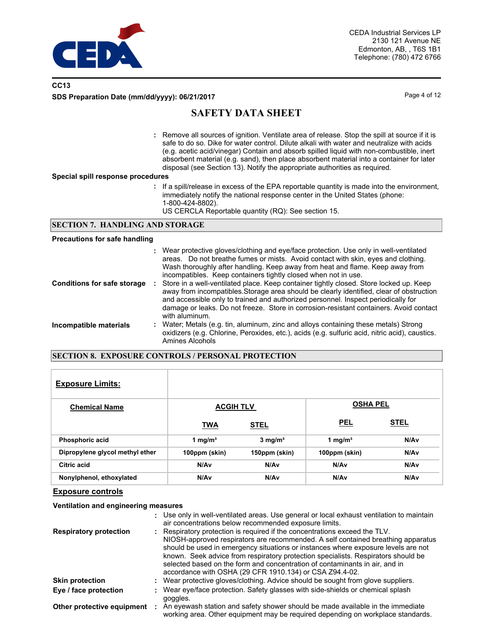

### **CC13 SDS Preparation Date (mm/dd/yyyy): 06/21/2017** Page 4 of 12

## **SAFETY DATA SHEET**

Remove all sources of ignition. Ventilate area of release. Stop the spill at source if it is **:** safe to do so. Dike for water control. Dilute alkali with water and neutralize with acids (e.g. acetic acid/vinegar) Contain and absorb spilled liquid with non-combustible, inert absorbent material (e.g. sand), then place absorbent material into a container for later disposal (see Section 13). Notify the appropriate authorities as required.

#### **Special spill response procedures**

- **:** If a spill/release in excess of the EPA reportable quantity is made into the environment, immediately notify the national response center in the United States (phone: 1-800-424-8802).
	- US CERCLA Reportable quantity (RQ): See section 15.

### **SECTION 7. HANDLING AND STORAGE**

#### **Precautions for safe handling**

|                                    | : Wear protective gloves/clothing and eye/face protection. Use only in well-ventilated<br>areas. Do not breathe fumes or mists. Avoid contact with skin, eyes and clothing.<br>Wash thoroughly after handling. Keep away from heat and flame. Keep away from<br>incompatibles. Keep containers tightly closed when not in use.                                                      |
|------------------------------------|-------------------------------------------------------------------------------------------------------------------------------------------------------------------------------------------------------------------------------------------------------------------------------------------------------------------------------------------------------------------------------------|
| <b>Conditions for safe storage</b> | Store in a well-ventilated place. Keep container tightly closed. Store locked up. Keep<br>away from incompatibles. Storage area should be clearly identified, clear of obstruction<br>and accessible only to trained and authorized personnel. Inspect periodically for<br>damage or leaks. Do not freeze. Store in corrosion-resistant containers. Avoid contact<br>with aluminum. |
| Incompatible materials             | : Water; Metals (e.g. tin, aluminum, zinc and alloys containing these metals) Strong<br>oxidizers (e.g. Chlorine, Peroxides, etc.), acids (e.g. sulfuric acid, nitric acid), caustics.<br>Amines Alcohols                                                                                                                                                                           |

### **SECTION 8. EXPOSURE CONTROLS / PERSONAL PROTECTION**

| <b>Exposure Limits:</b>         |                     |                    |                     |             |
|---------------------------------|---------------------|--------------------|---------------------|-------------|
| <b>Chemical Name</b>            | <b>ACGIH TLV</b>    |                    | <b>OSHA PEL</b>     |             |
|                                 | <b>TWA</b>          | <b>STEL</b>        | <b>PEL</b>          | <b>STEL</b> |
| <b>Phosphoric acid</b>          | 1 mg/m <sup>3</sup> | $3 \text{ mg/m}^3$ | 1 mg/m <sup>3</sup> | N/Av        |
| Dipropylene glycol methyl ether | 100ppm (skin)       | 150ppm (skin)      | 100ppm (skin)       | N/Av        |
| Citric acid                     | N/A <sub>v</sub>    | N/Av               | N/Av                | N/Av        |
| Nonylphenol, ethoxylated        | N/A <sub>v</sub>    | N/A <sub>v</sub>   | N/Av                | N/Av        |

### **Exposure controls**

### **Ventilation and engineering measures**

|                               | : Use only in well-ventilated areas. Use general or local exhaust ventilation to maintain<br>air concentrations below recommended exposure limits.                                                                                                                                                                                                                                                                                                                                 |
|-------------------------------|------------------------------------------------------------------------------------------------------------------------------------------------------------------------------------------------------------------------------------------------------------------------------------------------------------------------------------------------------------------------------------------------------------------------------------------------------------------------------------|
| <b>Respiratory protection</b> | : Respiratory protection is required if the concentrations exceed the TLV.<br>NIOSH-approved respirators are recommended. A self contained breathing apparatus<br>should be used in emergency situations or instances where exposure levels are not<br>known. Seek advice from respiratory protection specialists. Respirators should be<br>selected based on the form and concentration of contaminants in air, and in<br>accordance with OSHA (29 CFR 1910.134) or CSA Z94.4-02. |
| <b>Skin protection</b>        | : Wear protective gloves/clothing. Advice should be sought from glove suppliers.                                                                                                                                                                                                                                                                                                                                                                                                   |
| Eye / face protection         | : Wear eye/face protection. Safety glasses with side-shields or chemical splash<br>goggles.                                                                                                                                                                                                                                                                                                                                                                                        |
| Other protective equipment    | An eyewash station and safety shower should be made available in the immediate<br>working area. Other equipment may be required depending on workplace standards.                                                                                                                                                                                                                                                                                                                  |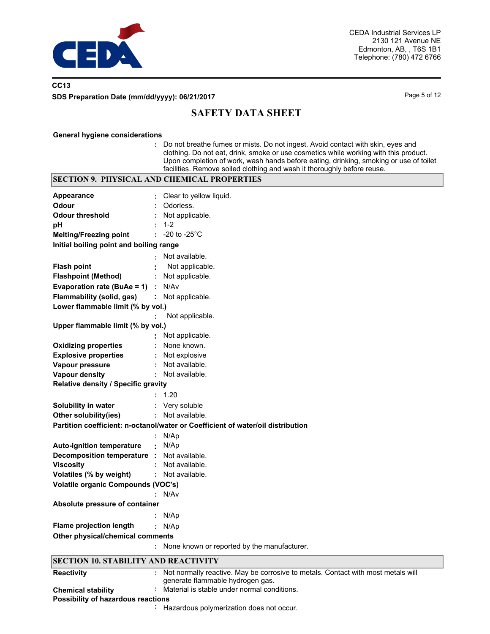

## **CC13 SDS Preparation Date (mm/dd/yyyy): 06/21/2017** Page 5 of 12

# **SAFETY DATA SHEET**

#### **General hygiene considerations**

**:** Do not breathe fumes or mists. Do not ingest. Avoid contact with skin, eyes and clothing. Do not eat, drink, smoke or use cosmetics while working with this product. Upon completion of work, wash hands before eating, drinking, smoking or use of toilet facilities. Remove soiled clothing and wash it thoroughly before reuse.

| <b>SECTION 9. PHYSICAL AND CHEMICAL PROPERTIES</b>                              |                                                                                    |  |  |  |  |  |
|---------------------------------------------------------------------------------|------------------------------------------------------------------------------------|--|--|--|--|--|
| Appearance                                                                      | Clear to yellow liquid.                                                            |  |  |  |  |  |
| <b>Odour</b>                                                                    | Odorless.                                                                          |  |  |  |  |  |
| <b>Odour threshold</b>                                                          | Not applicable.                                                                    |  |  |  |  |  |
| pH                                                                              | $1 - 2$                                                                            |  |  |  |  |  |
| <b>Melting/Freezing point</b>                                                   | $\div$ -20 to -25 $^{\circ}$ C                                                     |  |  |  |  |  |
| Initial boiling point and boiling range                                         |                                                                                    |  |  |  |  |  |
|                                                                                 | Not available.                                                                     |  |  |  |  |  |
| <b>Flash point</b>                                                              | Not applicable.                                                                    |  |  |  |  |  |
| <b>Flashpoint (Method)</b>                                                      | : Not applicable.                                                                  |  |  |  |  |  |
| <b>Evaporation rate (BuAe = 1)</b> : $N/Av$                                     |                                                                                    |  |  |  |  |  |
| Flammability (solid, gas)                                                       | : Not applicable.                                                                  |  |  |  |  |  |
| Lower flammable limit (% by vol.)                                               |                                                                                    |  |  |  |  |  |
|                                                                                 | Not applicable.                                                                    |  |  |  |  |  |
| Upper flammable limit (% by vol.)                                               |                                                                                    |  |  |  |  |  |
|                                                                                 | : Not applicable.                                                                  |  |  |  |  |  |
| <b>Oxidizing properties</b>                                                     | None known.                                                                        |  |  |  |  |  |
| <b>Explosive properties</b>                                                     | : Not explosive                                                                    |  |  |  |  |  |
| Vapour pressure                                                                 | : Not available.                                                                   |  |  |  |  |  |
| <b>Vapour density</b>                                                           | : Not available.                                                                   |  |  |  |  |  |
| Relative density / Specific gravity                                             |                                                                                    |  |  |  |  |  |
|                                                                                 | 1.20                                                                               |  |  |  |  |  |
| Solubility in water                                                             | : Very soluble                                                                     |  |  |  |  |  |
| Other solubility(ies)                                                           | : Not available.                                                                   |  |  |  |  |  |
| Partition coefficient: n-octanol/water or Coefficient of water/oil distribution |                                                                                    |  |  |  |  |  |
|                                                                                 | : $N/Ap$                                                                           |  |  |  |  |  |
| <b>Auto-ignition temperature</b>                                                | : $N/Ap$                                                                           |  |  |  |  |  |
| Decomposition temperature :                                                     | Not available.                                                                     |  |  |  |  |  |
| <b>Viscosity</b>                                                                | Not available.                                                                     |  |  |  |  |  |
| Volatiles (% by weight)                                                         | : Not available.                                                                   |  |  |  |  |  |
| <b>Volatile organic Compounds (VOC's)</b>                                       |                                                                                    |  |  |  |  |  |
|                                                                                 | : N/Av                                                                             |  |  |  |  |  |
| Absolute pressure of container                                                  |                                                                                    |  |  |  |  |  |
|                                                                                 | N/Ap                                                                               |  |  |  |  |  |
| <b>Flame projection length</b>                                                  | : N/Ap                                                                             |  |  |  |  |  |
| Other physical/chemical comments                                                |                                                                                    |  |  |  |  |  |
|                                                                                 | : None known or reported by the manufacturer.                                      |  |  |  |  |  |
|                                                                                 |                                                                                    |  |  |  |  |  |
| <b>SECTION 10. STABILITY AND REACTIVITY</b>                                     |                                                                                    |  |  |  |  |  |
| <b>Reactivity</b>                                                               | : Not normally reactive. May be corrosive to metals. Contact with most metals will |  |  |  |  |  |
|                                                                                 | generate flammable hydrogen gas.                                                   |  |  |  |  |  |
| <b>Chemical stability</b>                                                       | Material is stable under normal conditions.                                        |  |  |  |  |  |
| Possibility of hazardous reactions                                              | : Hazardous polymerization does not occur.                                         |  |  |  |  |  |
|                                                                                 |                                                                                    |  |  |  |  |  |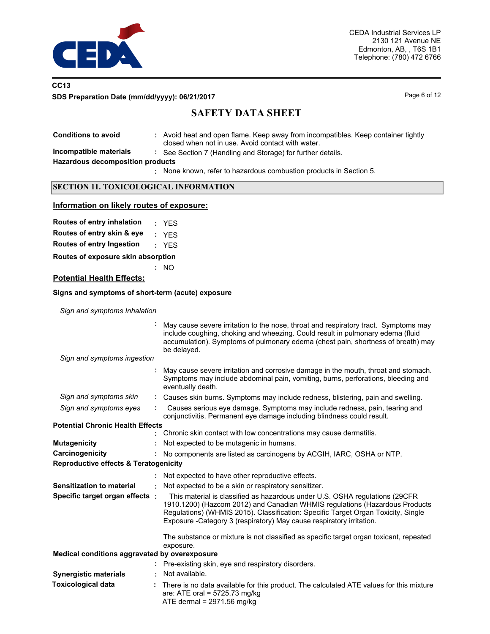

### **CC13 SDS Preparation Date (mm/dd/yyyy): 06/21/2017** Page 6 of 12

# **SAFETY DATA SHEET**

**Conditions to avoid** 

**:** Avoid heat and open flame. Keep away from incompatibles. Keep container tightly closed when not in use. Avoid contact with water.

**Incompatible materials :** See Section 7 (Handling and Storage) for further details.

**Hazardous decomposition products**

None known, refer to hazardous combustion products in Section 5. **:**

### **SECTION 11. TOXICOLOGICAL INFORMATION**

### **Information on likely routes of exposure:**

|  | <b>Routes of entry inhalation</b> | <b>YES</b> |
|--|-----------------------------------|------------|
|  |                                   |            |

**Routes of entry skin & eye :** YES

**Routes of entry Ingestion :** YES

**Routes of exposure skin absorption**

**:** NO

### **Potential Health Effects:**

#### **Signs and symptoms of short-term (acute) exposure**

*Sign and symptoms Inhalation*

| Sign and symptoms ingestion                      |   | May cause severe irritation to the nose, throat and respiratory tract. Symptoms may<br>include coughing, choking and wheezing. Could result in pulmonary edema (fluid<br>accumulation). Symptoms of pulmonary edema (chest pain, shortness of breath) may<br>be delayed.                                                                                                                                            |
|--------------------------------------------------|---|---------------------------------------------------------------------------------------------------------------------------------------------------------------------------------------------------------------------------------------------------------------------------------------------------------------------------------------------------------------------------------------------------------------------|
|                                                  |   | May cause severe irritation and corrosive damage in the mouth, throat and stomach.<br>Symptoms may include abdominal pain, vomiting, burns, perforations, bleeding and<br>eventually death.                                                                                                                                                                                                                         |
| Sign and symptoms skin                           |   | : Causes skin burns. Symptoms may include redness, blistering, pain and swelling.                                                                                                                                                                                                                                                                                                                                   |
| Sign and symptoms eyes                           |   | Causes serious eye damage. Symptoms may include redness, pain, tearing and<br>conjunctivitis. Permanent eye damage including blindness could result.                                                                                                                                                                                                                                                                |
| <b>Potential Chronic Health Effects</b>          |   |                                                                                                                                                                                                                                                                                                                                                                                                                     |
|                                                  |   | Chronic skin contact with low concentrations may cause dermatitis.                                                                                                                                                                                                                                                                                                                                                  |
| <b>Mutagenicity</b>                              |   | Not expected to be mutagenic in humans.                                                                                                                                                                                                                                                                                                                                                                             |
| Carcinogenicity                                  |   | No components are listed as carcinogens by ACGIH, IARC, OSHA or NTP.                                                                                                                                                                                                                                                                                                                                                |
| <b>Reproductive effects &amp; Teratogenicity</b> |   |                                                                                                                                                                                                                                                                                                                                                                                                                     |
|                                                  |   | Not expected to have other reproductive effects.                                                                                                                                                                                                                                                                                                                                                                    |
| Sensitization to material                        | ÷ | Not expected to be a skin or respiratory sensitizer.                                                                                                                                                                                                                                                                                                                                                                |
| Specific target organ effects :                  |   | This material is classified as hazardous under U.S. OSHA regulations (29CFR)<br>1910.1200) (Hazcom 2012) and Canadian WHMIS regulations (Hazardous Products<br>Regulations) (WHMIS 2015). Classification: Specific Target Organ Toxicity, Single<br>Exposure - Category 3 (respiratory) May cause respiratory irritation.<br>The substance or mixture is not classified as specific target organ toxicant, repeated |
|                                                  |   | exposure.                                                                                                                                                                                                                                                                                                                                                                                                           |
| Medical conditions aggravated by overexposure    |   |                                                                                                                                                                                                                                                                                                                                                                                                                     |
|                                                  |   | Pre-existing skin, eye and respiratory disorders.                                                                                                                                                                                                                                                                                                                                                                   |
| <b>Synergistic materials</b>                     |   | Not available.                                                                                                                                                                                                                                                                                                                                                                                                      |
| <b>Toxicological data</b>                        |   | There is no data available for this product. The calculated ATE values for this mixture<br>are: ATE oral = $5725.73$ mg/kg<br>ATE dermal = $2971.56$ mg/kg                                                                                                                                                                                                                                                          |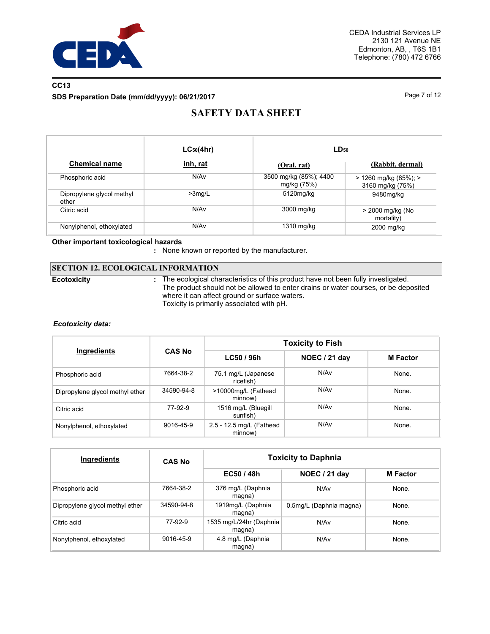

## **CC13 SDS Preparation Date (mm/dd/yyyy): 06/21/2017** Page 7 of 12

# **SAFETY DATA SHEET**

|                                    | $LC_{50}(4hr)$   | $LD_{50}$                             |                                           |  |
|------------------------------------|------------------|---------------------------------------|-------------------------------------------|--|
| <b>Chemical name</b>               | inh, rat         | (Oral, rat)                           | (Rabbit, dermal)                          |  |
| Phosphoric acid                    | N/A <sub>v</sub> | 3500 mg/kg (85%); 4400<br>mg/kg (75%) | > 1260 mg/kg (85%); ><br>3160 mg/kg (75%) |  |
| Dipropylene glycol methyl<br>ether | $>3$ mg/L        | 5120mg/kg                             | 9480mg/kg                                 |  |
| Citric acid                        | N/Av             | 3000 mg/kg                            | > 2000 mg/kg (No<br>mortality)            |  |
| Nonylphenol, ethoxylated           | N/Av             | 1310 mg/kg                            | 2000 mg/kg                                |  |

### **Other important toxicologica**l **hazards**

**:** None known or reported by the manufacturer.

### **SECTION 12. ECOLOGICAL INFORMATION**

**Ecotoxicity :**

The ecological characteristics of this product have not been fully investigated. The product should not be allowed to enter drains or water courses, or be deposited where it can affect ground or surface waters. Toxicity is primarily associated with pH.

### *Ecotoxicity data:*

| Ingredients                     |               | <b>Toxicity to Fish</b>             |               |                 |  |  |
|---------------------------------|---------------|-------------------------------------|---------------|-----------------|--|--|
|                                 | <b>CAS No</b> | LC50 / 96h                          | NOEC / 21 day | <b>M</b> Factor |  |  |
| Phosphoric acid                 | 7664-38-2     | 75.1 mg/L (Japanese<br>ricefish)    | N/Av          | None.           |  |  |
| Dipropylene glycol methyl ether | 34590-94-8    | >10000mg/L (Fathead<br>minnow)      | N/Av          | None.           |  |  |
| Citric acid                     | 77-92-9       | 1516 mg/L (Bluegill<br>sunfish)     | N/Av          | None.           |  |  |
| Nonylphenol, ethoxylated        | 9016-45-9     | 2.5 - 12.5 mg/L (Fathead<br>minnow) | N/Av          | None.           |  |  |

| Ingredients                     | <b>CAS No</b> | <b>Toxicity to Daphnia</b>        |                         |                 |  |  |
|---------------------------------|---------------|-----------------------------------|-------------------------|-----------------|--|--|
|                                 |               | EC50 / 48h                        | NOEC / 21 day           | <b>M</b> Factor |  |  |
| Phosphoric acid                 | 7664-38-2     | 376 mg/L (Daphnia<br>magna)       | N/Av                    | None.           |  |  |
| Dipropylene glycol methyl ether | 34590-94-8    | 1919mg/L (Daphnia<br>magna)       | 0.5mg/L (Daphnia magna) | None.           |  |  |
| Citric acid                     | 77-92-9       | 1535 mg/L/24hr (Daphnia<br>magna) | N/Av                    | None.           |  |  |
| Nonylphenol, ethoxylated        | 9016-45-9     | 4.8 mg/L (Daphnia<br>magna)       | N/Av                    | None.           |  |  |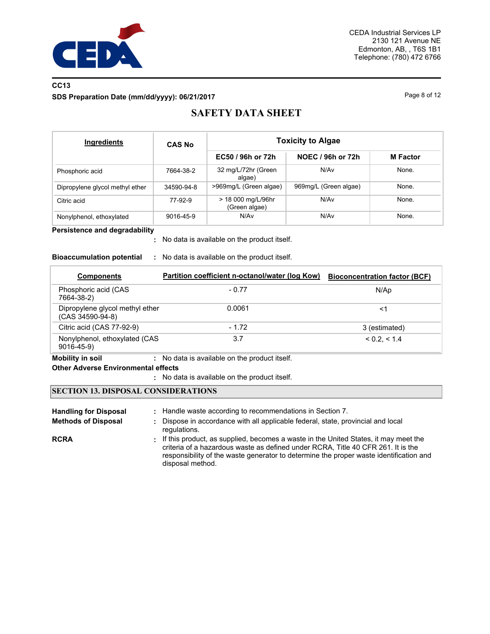

### **CC13 SDS Preparation Date (mm/dd/yyyy): 06/21/2017** Page 8 of 12

# **SAFETY DATA SHEET**

| Ingredients                     | <b>CAS No</b> | <b>Toxicity to Algae</b>            |                       |                 |  |  |
|---------------------------------|---------------|-------------------------------------|-----------------------|-----------------|--|--|
|                                 |               | EC50 / 96h or 72h                   | NOEC / 96h or 72h     | <b>M</b> Factor |  |  |
| Phosphoric acid                 | 7664-38-2     | 32 mg/L/72hr (Green<br>algae)       | N/Av                  | None.           |  |  |
| Dipropylene glycol methyl ether | 34590-94-8    | >969mg/L (Green algae)              | 969mg/L (Green algae) | None.           |  |  |
| Citric acid                     | 77-92-9       | > 18 000 mg/L/96hr<br>(Green algae) | N/Av                  | None.           |  |  |
| Nonylphenol, ethoxylated        | 9016-45-9     | N/Av                                | N/Av                  | None.           |  |  |

### **Persistence and degradability**

No data is available on the product itself. **:**

### **Bioaccumulation potential :** No data is available on the product itself.

| <b>Components</b>                                   | Partition coefficient n-octanol/water (log Kow) | <b>Bioconcentration factor (BCF)</b> |
|-----------------------------------------------------|-------------------------------------------------|--------------------------------------|
| Phosphoric acid (CAS<br>7664-38-2)                  | $-0.77$                                         | N/Ap                                 |
| Dipropylene glycol methyl ether<br>(CAS 34590-94-8) | 0.0061                                          | <1                                   |
| Citric acid (CAS 77-92-9)                           | $-1.72$                                         | 3 (estimated)                        |
| Nonylphenol, ethoxylated (CAS<br>$9016 - 45 - 9$    | 3.7                                             | < 0.2. < 1.4                         |

### **Mobility in soil :** No data is available on the product itself.

### **Other Adverse Environmental effects**

No data is available on the product itself. **:**

### **SECTION 13. DISPOSAL CONSIDERATIONS**

| <b>Handling for Disposal</b> | : Handle waste according to recommendations in Section 7.                                                                                                                                                                                                                               |
|------------------------------|-----------------------------------------------------------------------------------------------------------------------------------------------------------------------------------------------------------------------------------------------------------------------------------------|
| <b>Methods of Disposal</b>   | : Dispose in accordance with all applicable federal, state, provincial and local<br>regulations.                                                                                                                                                                                        |
| <b>RCRA</b>                  | . If this product, as supplied, becomes a waste in the United States, it may meet the<br>criteria of a hazardous waste as defined under RCRA, Title 40 CFR 261. It is the<br>responsibility of the waste generator to determine the proper waste identification and<br>disposal method. |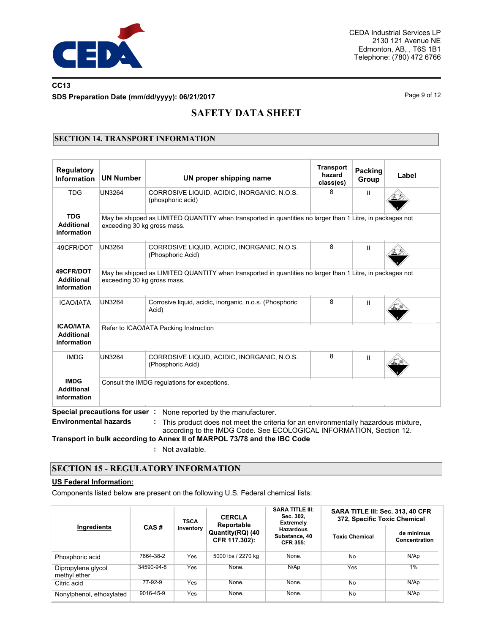

## **CC13 SDS Preparation Date (mm/dd/yyyy): 06/21/2017** Page 9 of 12

# **SAFETY DATA SHEET**

### **SECTION 14. TRANSPORT INFORMATION**

| <b>Regulatory</b><br><b>Information</b>              | <b>UN Number</b>                                                                                                                         | UN proper shipping name                                                                                                 | <b>Transport</b><br>hazard<br>class(es) | Packing<br>Group | Label |  |  |
|------------------------------------------------------|------------------------------------------------------------------------------------------------------------------------------------------|-------------------------------------------------------------------------------------------------------------------------|-----------------------------------------|------------------|-------|--|--|
| <b>TDG</b>                                           | UN3264                                                                                                                                   | CORROSIVE LIQUID, ACIDIC, INORGANIC, N.O.S.<br>(phosphoric acid)                                                        | 8                                       | Ш                |       |  |  |
| <b>TDG</b><br><b>Additional</b><br>information       | exceeding 30 kg gross mass.                                                                                                              | May be shipped as LIMITED QUANTITY when transported in quantities no larger than 1 Litre, in packages not               |                                         |                  |       |  |  |
| 49CFR/DOT                                            | <b>UN3264</b>                                                                                                                            | CORROSIVE LIQUID, ACIDIC, INORGANIC, N.O.S.<br>(Phosphoric Acid)                                                        | 8                                       | Ш                |       |  |  |
| 49CFR/DOT<br><b>Additional</b><br>information        | May be shipped as LIMITED QUANTITY when transported in quantities no larger than 1 Litre, in packages not<br>exceeding 30 kg gross mass. |                                                                                                                         |                                         |                  |       |  |  |
| <b>ICAO/IATA</b>                                     | UN3264                                                                                                                                   | Corrosive liquid, acidic, inorganic, n.o.s. (Phosphoric<br>Acid)                                                        | 8                                       | Ш                |       |  |  |
| <b>ICAO/IATA</b><br><b>Additional</b><br>information | Refer to ICAO/IATA Packing Instruction                                                                                                   |                                                                                                                         |                                         |                  |       |  |  |
| <b>IMDG</b>                                          | UN3264                                                                                                                                   | CORROSIVE LIQUID, ACIDIC, INORGANIC, N.O.S.<br>(Phosphoric Acid)                                                        | 8                                       | Ш                |       |  |  |
| <b>IMDG</b><br><b>Additional</b><br>information      |                                                                                                                                          | Consult the IMDG regulations for exceptions.                                                                            |                                         |                  |       |  |  |
| <b>Environmental hazards</b>                         | Special precautions for user:                                                                                                            | None reported by the manufacturer.<br>This product does not meet the criteria for an environmentally hazardous mixture, |                                         |                  |       |  |  |

according to the IMDG Code. See ECOLOGICAL INFORMATION, Section 12. **Transport in bulk according to Annex II of MARPOL 73/78 and the IBC Code**

**:** Not available.

### **SECTION 15 - REGULATORY INFORMATION**

### **US Federal Information:**

Components listed below are present on the following U.S. Federal chemical lists:

|                                    |            | <b>TSCA</b> | <b>CERCLA</b><br>Reportable       | <b>SARA TITLE III:</b><br>Sec. 302.<br><b>Extremely</b> | SARA TITLE III: Sec. 313, 40 CFR<br>372, Specific Toxic Chemical |                             |  |
|------------------------------------|------------|-------------|-----------------------------------|---------------------------------------------------------|------------------------------------------------------------------|-----------------------------|--|
| Ingredients                        | CAS#       | Inventory   | Quantity(RQ) (40<br>CFR 117.302): | <b>Hazardous</b><br>Substance, 40<br><b>CFR 355:</b>    | <b>Toxic Chemical</b>                                            | de minimus<br>Concentration |  |
| Phosphoric acid                    | 7664-38-2  | Yes         | 5000 lbs / 2270 kg                | None.                                                   | No                                                               | N/Ap                        |  |
| Dipropylene glycol<br>methyl ether | 34590-94-8 | Yes         | None.                             | N/AD                                                    | Yes                                                              | 1%                          |  |
| Citric acid                        | 77-92-9    | Yes         | None.                             | None.                                                   | <b>No</b>                                                        | N/Ap                        |  |
| Nonylphenol, ethoxylated           | 9016-45-9  | Yes         | None.                             | None.                                                   | No                                                               | N/AD                        |  |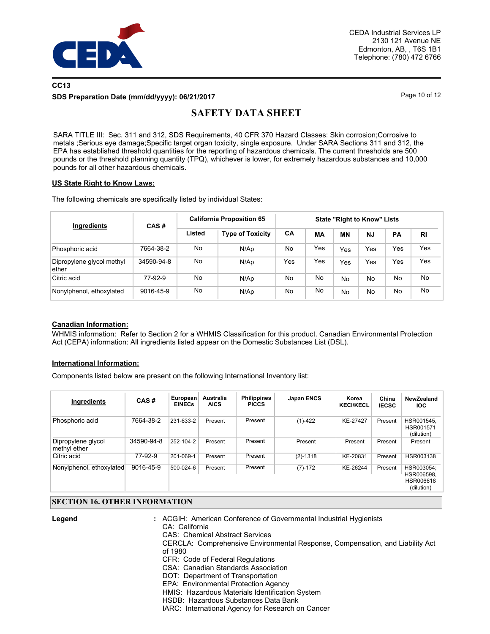

### **CC13 SDS Preparation Date (mm/dd/yyyy): 06/21/2017** Page 10 of 12

# **SAFETY DATA SHEET**

SARA TITLE III: Sec. 311 and 312, SDS Requirements, 40 CFR 370 Hazard Classes: Skin corrosion;Corrosive to metals ;Serious eye damage;Specific target organ toxicity, single exposure. Under SARA Sections 311 and 312, the EPA has established threshold quantities for the reporting of hazardous chemicals. The current thresholds are 500 pounds or the threshold planning quantity (TPQ), whichever is lower, for extremely hazardous substances and 10,000 pounds for all other hazardous chemicals.

### **US State Right to Know Laws:**

The following chemicals are specifically listed by individual States:

| Ingredients                        | CAS#       | <b>California Proposition 65</b> |                         | <b>State "Right to Know" Lists</b> |     |     |           |           |           |
|------------------------------------|------------|----------------------------------|-------------------------|------------------------------------|-----|-----|-----------|-----------|-----------|
|                                    |            | Listed                           | <b>Type of Toxicity</b> | CA                                 | MА  | ΜN  | <b>NJ</b> | <b>PA</b> | <b>RI</b> |
| Phosphoric acid                    | 7664-38-2  | No                               | N/Ap                    | No                                 | Yes | Yes | Yes       | Yes       | Yes       |
| Dipropylene glycol methyl<br>ether | 34590-94-8 | No                               | N/Ap                    | Yes                                | Yes | Yes | Yes       | Yes       | Yes       |
| Citric acid                        | 77-92-9    | No                               | N/Ap                    | No                                 | No  | No  | No        | No        | No        |
| Nonylphenol, ethoxylated           | 9016-45-9  | No                               | N/Ap                    | No                                 | No  | No  | No.       | No        | No        |

### **Canadian Information:**

WHMIS information: Refer to Section 2 for a WHMIS Classification for this product. Canadian Environmental Protection Act (CEPA) information: All ingredients listed appear on the Domestic Substances List (DSL).

### **International Information:**

Components listed below are present on the following International Inventory list:

| Ingredients                        | CAS#       | European<br><b>EINECs</b> | Australia<br><b>AICS</b> | <b>Philippines</b><br><b>PICCS</b> | <b>Japan ENCS</b> | Korea<br><b>KECI/KECL</b> | China<br><b>IECSC</b> | NewZealand<br>IOC.                                  |
|------------------------------------|------------|---------------------------|--------------------------|------------------------------------|-------------------|---------------------------|-----------------------|-----------------------------------------------------|
| Phosphoric acid                    | 7664-38-2  | 231-633-2                 | Present                  | Present                            | $(1)-422$         | KE-27427                  | Present               | HSR001545.<br>HSR001571<br>(dilution)               |
| Dipropylene glycol<br>methyl ether | 34590-94-8 | 252-104-2                 | Present                  | Present                            | Present           | Present                   | Present               | Present                                             |
| Citric acid                        | 77-92-9    | 201-069-1                 | Present                  | Present                            | $(2) - 1318$      | KE-20831                  | Present               | HSR003138                                           |
| Nonylphenol, ethoxylated           | 9016-45-9  | 500-024-6                 | Present                  | Present                            | $(7)-172$         | KE-26244                  | Present               | HSR003054:<br>HSR006598,<br>HSR006618<br>(dilution) |

### **SECTION 16. OTHER INFORMATION**

**Legend :**

ACGIH: American Conference of Governmental Industrial Hygienists

CA: California

CAS: Chemical Abstract Services

CERCLA: Comprehensive Environmental Response, Compensation, and Liability Act of 1980

CFR: Code of Federal Regulations

CSA: Canadian Standards Association

DOT: Department of Transportation

EPA: Environmental Protection Agency

HMIS: Hazardous Materials Identification System

HSDB: Hazardous Substances Data Bank

IARC: International Agency for Research on Cancer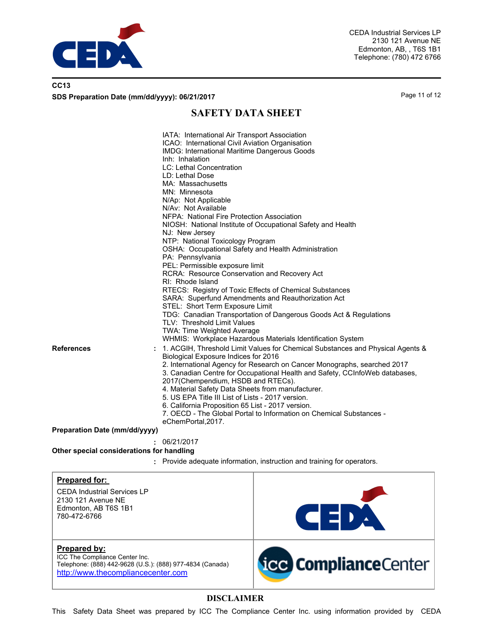

| CC <sub>13</sub>                              |               |
|-----------------------------------------------|---------------|
| SDS Preparation Date (mm/dd/yyyy): 06/21/2017 | Page 11 of 12 |

## **SAFETY DATA SHEET**

| References<br>Preparation Date (mm/dd/yyyy)<br>Other special considerations for handling                                                          | IATA: International Air Transport Association<br>ICAO: International Civil Aviation Organisation<br>IMDG: International Maritime Dangerous Goods<br>Inh: Inhalation<br>LC: Lethal Concentration<br>LD: Lethal Dose<br>MA: Massachusetts<br>MN: Minnesota<br>N/Ap: Not Applicable<br>N/Av: Not Available<br>NFPA: National Fire Protection Association<br>NJ: New Jersey<br>NTP: National Toxicology Program<br>OSHA: Occupational Safety and Health Administration<br>PA: Pennsylvania<br>PEL: Permissible exposure limit<br>RCRA: Resource Conservation and Recovery Act<br>RI: Rhode Island<br>STEL: Short Term Exposure Limit<br>TLV: Threshold Limit Values<br>TWA: Time Weighted Average<br>Biological Exposure Indices for 2016<br>2017(Chempendium, HSDB and RTECs).<br>4. Material Safety Data Sheets from manufacturer.<br>5. US EPA Title III List of Lists - 2017 version.<br>6. California Proposition 65 List - 2017 version.<br>eChemPortal, 2017.<br>06/21/2017 | NIOSH: National Institute of Occupational Safety and Health<br>RTECS: Registry of Toxic Effects of Chemical Substances<br>SARA: Superfund Amendments and Reauthorization Act<br>TDG: Canadian Transportation of Dangerous Goods Act & Regulations<br>WHMIS: Workplace Hazardous Materials Identification System<br>1. ACGIH, Threshold Limit Values for Chemical Substances and Physical Agents &<br>2. International Agency for Research on Cancer Monographs, searched 2017<br>3. Canadian Centre for Occupational Health and Safety, CCInfoWeb databases,<br>7. OECD - The Global Portal to Information on Chemical Substances -<br>: Provide adequate information, instruction and training for operators. |  |
|---------------------------------------------------------------------------------------------------------------------------------------------------|--------------------------------------------------------------------------------------------------------------------------------------------------------------------------------------------------------------------------------------------------------------------------------------------------------------------------------------------------------------------------------------------------------------------------------------------------------------------------------------------------------------------------------------------------------------------------------------------------------------------------------------------------------------------------------------------------------------------------------------------------------------------------------------------------------------------------------------------------------------------------------------------------------------------------------------------------------------------------------|----------------------------------------------------------------------------------------------------------------------------------------------------------------------------------------------------------------------------------------------------------------------------------------------------------------------------------------------------------------------------------------------------------------------------------------------------------------------------------------------------------------------------------------------------------------------------------------------------------------------------------------------------------------------------------------------------------------|--|
| <b>Prepared for:</b><br><b>CEDA Industrial Services LP</b><br>2130 121 Avenue NE<br>Edmonton, AB T6S 1B1<br>780-472-6766                          |                                                                                                                                                                                                                                                                                                                                                                                                                                                                                                                                                                                                                                                                                                                                                                                                                                                                                                                                                                                | <b>CEDA</b>                                                                                                                                                                                                                                                                                                                                                                                                                                                                                                                                                                                                                                                                                                    |  |
| Prepared by:<br>ICC The Compliance Center Inc.<br>Telephone: (888) 442-9628 (U.S.): (888) 977-4834 (Canada)<br>http://www.thecompliancecenter.com |                                                                                                                                                                                                                                                                                                                                                                                                                                                                                                                                                                                                                                                                                                                                                                                                                                                                                                                                                                                | <b>icc Compliance</b> Center                                                                                                                                                                                                                                                                                                                                                                                                                                                                                                                                                                                                                                                                                   |  |

## **DISCLAIMER**

This Safety Data Sheet was prepared by ICC The Compliance Center Inc. using information provided by CEDA